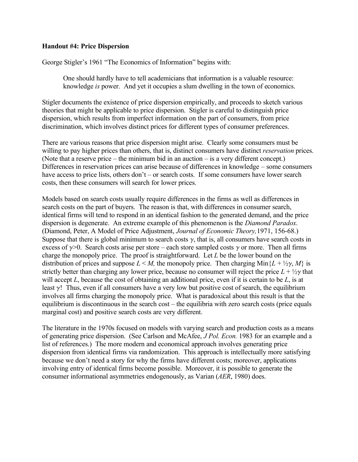## **Handout #4: Price Dispersion**

George Stigler's 1961 "The Economics of Information" begins with:

One should hardly have to tell academicians that information is a valuable resource: knowledge *is* power. And yet it occupies a slum dwelling in the town of economics.

Stigler documents the existence of price dispersion empirically, and proceeds to sketch various theories that might be applicable to price dispersion. Stigler is careful to distinguish price dispersion, which results from imperfect information on the part of consumers, from price discrimination, which involves distinct prices for different types of consumer preferences.

There are various reasons that price dispersion might arise. Clearly some consumers must be willing to pay higher prices than others, that is, distinct consumers have distinct *reservation* prices. (Note that a reserve price – the minimum bid in an auction – is a very different concept.) Differences in reservation prices can arise because of differences in knowledge – some consumers have access to price lists, others don't – or search costs. If some consumers have lower search costs, then these consumers will search for lower prices.

Models based on search costs usually require differences in the firms as well as differences in search costs on the part of buyers. The reason is that, with differences in consumer search, identical firms will tend to respond in an identical fashion to the generated demand, and the price dispersion is degenerate. An extreme example of this phenomenon is the *Diamond Paradox*. (Diamond, Peter, A Model of Price Adjustment, *Journal of Economic Theory,*1971, 156-68.) Suppose that there is global minimum to search costs  $\gamma$ , that is, all consumers have search costs in excess of  $\gamma$ >0. Search costs arise per store – each store sampled costs  $\gamma$  or more. Then all firms charge the monopoly price. The proof is straightforward. Let *L* be the lower bound on the distribution of prices and suppose  $L \leq M$ , the monopoly price. Then charging  $Min\{L + \frac{1}{2}\gamma, M\}$  is strictly better than charging any lower price, because no consumer will reject the price  $L + \frac{1}{2}\gamma$  that will accept *L*, because the cost of obtaining an additional price, even if it is certain to be *L*, is at least  $\gamma$ ! Thus, even if all consumers have a very low but positive cost of search, the equilibrium involves all firms charging the monopoly price. What is paradoxical about this result is that the equilibrium is discontinuous in the search cost – the equilibria with zero search costs (price equals marginal cost) and positive search costs are very different.

The literature in the 1970s focused on models with varying search and production costs as a means of generating price dispersion. (See Carlson and McAfee, *J Pol. Econ.* 1983 for an example and a list of references.) The more modern and economical approach involves generating price dispersion from identical firms via randomization. This approach is intellectually more satisfying because we don't need a story for why the firms have different costs; moreover, applications involving entry of identical firms become possible. Moreover, it is possible to generate the consumer informational asymmetries endogenously, as Varian (*AER*, 1980) does.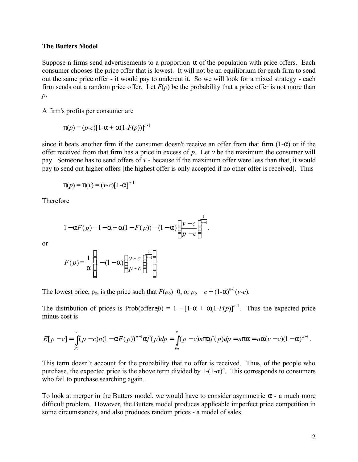## **The Butters Model**

Suppose n firms send advertisements to a proportion  $\alpha$  of the population with price offers. Each consumer chooses the price offer that is lowest. It will not be an equilibrium for each firm to send out the same price offer - it would pay to undercut it. So we will look for a mixed strategy - each firm sends out a random price offer. Let  $F(p)$  be the probability that a price offer is not more than *p*.

A firm's profits per consumer are

$$
\pi(p) = (p-c)\left[1-\alpha + \alpha(1-F(p))\right]^{n-1}
$$

since it beats another firm if the consumer doesn't receive an offer from that firm  $(1-\alpha)$  or if the offer received from that firm has a price in excess of *p*. Let *v* be the maximum the consumer will pay. Someone has to send offers of *v* - because if the maximum offer were less than that, it would pay to send out higher offers [the highest offer is only accepted if no other offer is received]. Thus

$$
\pi(p) = \pi(v) = (v-c)[1-\alpha]^{n-1}
$$

Therefore

$$
1 - \alpha F(p) = 1 - \alpha + \alpha (1 - F(p)) = (1 - \alpha) \left( \frac{v - c}{p - c} \right)^{\frac{1}{n - 1}}.
$$

or

$$
F(p) = \frac{1}{\alpha} \left[ 1 - (1 - \alpha) \left( \frac{v - c}{p - c} \right)^{\frac{1}{n-1}} \right].
$$

The lowest price,  $p_0$ , is the price such that  $F(p_0)=0$ , or  $p_0 = c + (1-\alpha)^{n-1}(v-c)$ .

The distribution of prices is Prob(offer $\leq p$ ) = 1 - [1- $\alpha + \alpha(1 - F(p))^{n-1}$ . Thus the expected price minus cost is

$$
E[p-c] = \int_{p_0}^{v} (p-c)n(1-\alpha F(p))^{n-1} \alpha f(p) dp = \int_{p_0}^{v} (p-c)n\pi\alpha f(p) dp = n\pi\alpha = n\alpha(v-c)(1-\alpha)^{n-1}.
$$

This term doesn't account for the probability that no offer is received. Thus, of the people who purchase, the expected price is the above term divided by  $1-(1-\alpha)^n$ . This corresponds to consumers who fail to purchase searching again.

To look at merger in the Butters model, we would have to consider asymmetric  $\alpha$  - a much more difficult problem. However, the Butters model produces applicable imperfect price competition in some circumstances, and also produces random prices - a model of sales.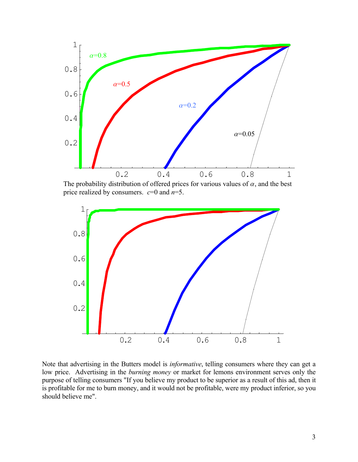

The probability distribution of offered prices for various values of  $\alpha$ , and the best price realized by consumers. *c*=0 and *n*=5.



Note that advertising in the Butters model is *informative*, telling consumers where they can get a low price. Advertising in the *burning money* or market for lemons environment serves only the purpose of telling consumers "If you believe my product to be superior as a result of this ad, then it is profitable for me to burn money, and it would not be profitable, were my product inferior, so you should believe me".